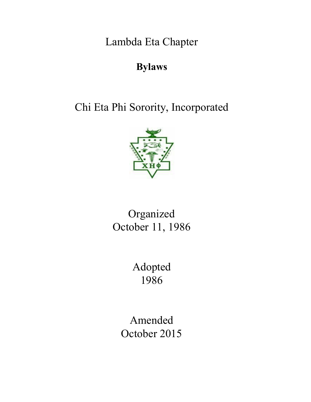Lambda Eta Chapter

# **Bylaws**

Chi Eta Phi Sorority, Incorporated



# Organized October 11, 1986

Adopted 1986

Amended October 2015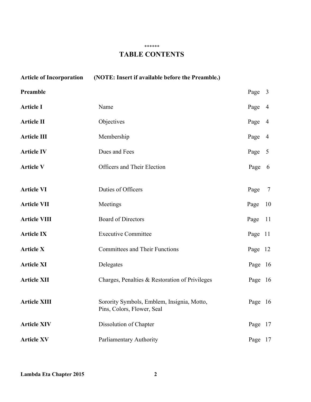#### \*\*\*\*\*\*

# **TABLE CONTENTS**

| <b>Article of Incorporation</b> | (NOTE: Insert if available before the Preamble.)                         |         |                |
|---------------------------------|--------------------------------------------------------------------------|---------|----------------|
| Preamble                        |                                                                          | Page    | $\overline{3}$ |
| <b>Article I</b>                | Name                                                                     | Page    | $\overline{4}$ |
| <b>Article II</b>               | Objectives                                                               | Page    | $\overline{4}$ |
| <b>Article III</b>              | Membership                                                               | Page    | $\overline{4}$ |
| <b>Article IV</b>               | Dues and Fees                                                            | Page    | $\overline{5}$ |
| <b>Article V</b>                | Officers and Their Election                                              | Page    | 6              |
|                                 |                                                                          |         |                |
| <b>Article VI</b>               | Duties of Officers                                                       | Page    | $\tau$         |
| <b>Article VII</b>              | Meetings                                                                 | Page    | 10             |
| <b>Article VIII</b>             | Board of Directors                                                       | Page    | 11             |
| <b>Article IX</b>               | <b>Executive Committee</b>                                               | Page    | <sup>11</sup>  |
| <b>Article X</b>                | <b>Committees and Their Functions</b>                                    | Page    | 12             |
| <b>Article XI</b>               | Delegates                                                                | Page 16 |                |
| <b>Article XII</b>              | Charges, Penalties & Restoration of Privileges                           | Page 16 |                |
| <b>Article XIII</b>             | Sorority Symbols, Emblem, Insignia, Motto,<br>Pins, Colors, Flower, Seal | Page 16 |                |
| <b>Article XIV</b>              | Dissolution of Chapter                                                   | Page    | 17             |
| <b>Article XV</b>               | Parliamentary Authority                                                  | Page 17 |                |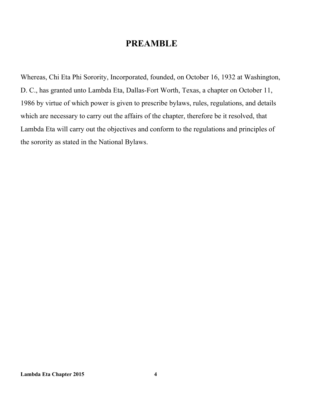# **PREAMBLE**

Whereas, Chi Eta Phi Sorority, Incorporated, founded, on October 16, 1932 at Washington, D. C., has granted unto Lambda Eta, Dallas-Fort Worth, Texas, a chapter on October 11, 1986 by virtue of which power is given to prescribe bylaws, rules, regulations, and details which are necessary to carry out the affairs of the chapter, therefore be it resolved, that Lambda Eta will carry out the objectives and conform to the regulations and principles of the sorority as stated in the National Bylaws.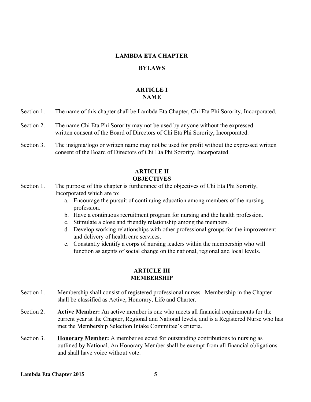# **LAMBDA ETA CHAPTER**

# **BYLAWS**

# **ARTICLE I NAME**

- Section 1. The name of this chapter shall be Lambda Eta Chapter, Chi Eta Phi Sorority, Incorporated.
- Section 2. The name Chi Eta Phi Sorority may not be used by anyone without the expressed written consent of the Board of Directors of Chi Eta Phi Sorority, Incorporated.
- Section 3. The insignia/logo or written name may not be used for profit without the expressed written consent of the Board of Directors of Chi Eta Phi Sorority, Incorporated.

# **ARTICLE II OBJECTIVES**

- Section 1. The purpose of this chapter is furtherance of the objectives of Chi Eta Phi Sorority, Incorporated which are to:
	- a. Encourage the pursuit of continuing education among members of the nursing profession.
	- b. Have a continuous recruitment program for nursing and the health profession.
	- c. Stimulate a close and friendly relationship among the members.
	- d. Develop working relationships with other professional groups for the improvement and delivery of health care services.
	- e. Constantly identify a corps of nursing leaders within the membership who will function as agents of social change on the national, regional and local levels.

# **ARTICLE III MEMBERSHIP**

- Section 1. Membership shall consist of registered professional nurses. Membership in the Chapter shall be classified as Active, Honorary, Life and Charter.
- Section 2. **Active Member:** An active member is one who meets all financial requirements for the current year at the Chapter, Regional and National levels, and is a Registered Nurse who has met the Membership Selection Intake Committee's criteria.
- Section 3. **Honorary Member:** A member selected for outstanding contributions to nursing as outlined by National. An Honorary Member shall be exempt from all financial obligations and shall have voice without vote.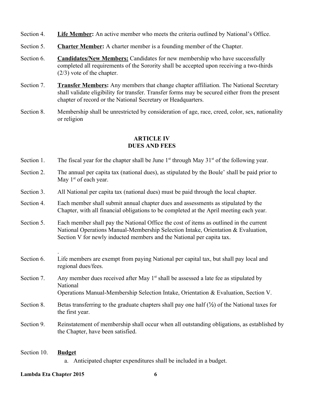- Section 4. **Life Member:** An active member who meets the criteria outlined by National's Office.
- Section 5. **Charter Member:** A charter member is a founding member of the Chapter.
- Section 6. Candidates/New Members: Candidates for new membership who have successfully completed all requirements of the Sorority shall be accepted upon receiving a two-thirds (2/3) vote of the chapter.
- Section 7. **Transfer Members:** Any members that change chapter affiliation. The National Secretary shall validate eligibility for transfer. Transfer forms may be secured either from the present chapter of record or the National Secretary or Headquarters.
- Section 8. Membership shall be unrestricted by consideration of age, race, creed, color, sex, nationality or religion

# **ARTICLE IV DUES AND FEES**

- Section 1. The fiscal year for the chapter shall be June  $1<sup>st</sup>$  through May 31 $<sup>st</sup>$  of the following year.</sup>
- Section 2. The annual per capita tax (national dues), as stipulated by the Boule' shall be paid prior to May 1<sup>st</sup> of each year.
- Section 3. All National per capita tax (national dues) must be paid through the local chapter.
- Section 4. Each member shall submit annual chapter dues and assessments as stipulated by the Chapter, with all financial obligations to be completed at the April meeting each year.
- Section 5. Each member shall pay the National Office the cost of items as outlined in the current National Operations Manual-Membership Selection Intake, Orientation & Evaluation, Section V for newly inducted members and the National per capita tax.
- Section 6 Life members are exempt from paying National per capital tax, but shall pay local and regional dues/fees.
- Section 7. Any member dues received after May  $1<sup>st</sup>$  shall be assessed a late fee as stipulated by National

```
Operations Manual-Membership Selection Intake, Orientation & Evaluation, Section V.
```
- Section 8. Betas transferring to the graduate chapters shall pay one half  $(\frac{1}{2})$  of the National taxes for the first year.
- Section 9. Reinstatement of membership shall occur when all outstanding obligations, as established by the Chapter, have been satisfied.

# Section 10. **Budget**

.

a. Anticipated chapter expenditures shall be included in a budget.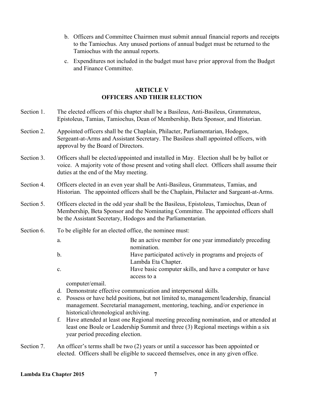- b. Officers and Committee Chairmen must submit annual financial reports and receipts to the Tamiochus. Any unused portions of annual budget must be returned to the Tamiochus with the annual reports.
- c. Expenditures not included in the budget must have prior approval from the Budget and Finance Committee.

# **ARTICLE V OFFICERS AND THEIR ELECTION**

- Section 1. The elected officers of this chapter shall be a Basileus, Anti-Basileus, Grammateus, Epistoleus, Tamias, Tamiochus, Dean of Membership, Beta Sponsor, and Historian.
- Section 2. Appointed officers shall be the Chaplain, Philacter, Parliamentarian, Hodogos, Sergeant-at-Arms and Assistant Secretary. The Basileus shall appointed officers, with approval by the Board of Directors.
- Section 3. Officers shall be elected/appointed and installed in May. Election shall be by ballot or voice. A majority vote of those present and voting shall elect. Officers shall assume their duties at the end of the May meeting.
- Section 4. Officers elected in an even year shall be Anti-Basileus, Grammateus, Tamias, and Historian. The appointed officers shall be the Chaplain, Philacter and Sargeant-at-Arms.
- Section 5. Officers elected in the odd year shall be the Basileus, Epistoleus, Tamiochus, Dean of Membership, Beta Sponsor and the Nominating Committee. The appointed officers shall be the Assistant Secretary, Hodogos and the Parliamentarian.
- Section 6. To be eligible for an elected office, the nominee must:
	- a. Be an active member for one year immediately preceding nomination.
	- b. Have participated actively in programs and projects of Lambda Eta Chapter.
	- c. Have basic computer skills, and have a computer or have access to a

computer/email.

- d. Demonstrate effective communication and interpersonal skills.
- e. Possess or have held positions, but not limited to, management/leadership, financial management. Secretarial management, mentoring, teaching, and/or experience in historical/chronological archiving.
- f. Have attended at least one Regional meeting preceding nomination, and or attended at least one Boule or Leadership Summit and three (3) Regional meetings within a six year period preceding election.
- Section 7. An officer's terms shall be two (2) years or until a successor has been appointed or elected. Officers shall be eligible to succeed themselves, once in any given office.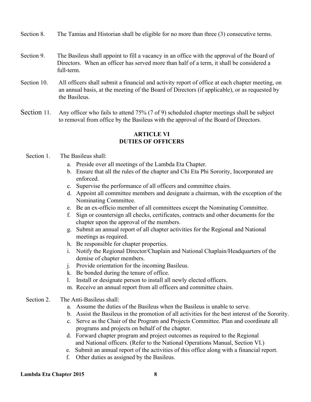- Section 8. The Tamias and Historian shall be eligible for no more than three (3) consecutive terms.
- Section 9. The Basileus shall appoint to fill a vacancy in an office with the approval of the Board of Directors. When an officer has served more than half of a term, it shall be considered a full-term.
- Section 10. All officers shall submit a financial and activity report of office at each chapter meeting, on an annual basis, at the meeting of the Board of Directors (if applicable), or as requested by the Basileus.
- Section 11. Any officer who fails to attend 75% (7 of 9) scheduled chapter meetings shall be subject to removal from office by the Basileus with the approval of the Board of Directors.

#### **ARTICLE VI DUTIES OF OFFICERS**

#### Section 1. The Basileus shall:

- a. Preside over all meetings of the Lambda Eta Chapter.
- b. Ensure that all the rules of the chapter and Chi Eta Phi Sorority, Incorporated are enforced.
- c. Supervise the performance of all officers and committee chairs.
- d. Appoint all committee members and designate a chairman, with the exception of the Nominating Committee.
- e. Be an ex-officio member of all committees except the Nominating Committee.
- f. Sign or countersign all checks, certificates, contracts and other documents for the chapter upon the approval of the members.
- g. Submit an annual report of all chapter activities for the Regional and National meetings as required.
- h. Be responsible for chapter properties.
- i. Notify the Regional Director/Chaplain and National Chaplain/Headquarters of the demise of chapter members.
- j. Provide orientation for the incoming Basileus.
- k. Be bonded during the tenure of office.
- l. Install or designate person to install all newly elected officers.
- m. Receive an annual report from all officers and committee chairs.

# Section 2. The Anti-Basileus shall:

- a. Assume the duties of the Basileus when the Basileus is unable to serve.
- b. Assist the Basileus in the promotion of all activities for the best interest of the Sorority.
- c. Serve as the Chair of the Program and Projects Committee. Plan and coordinate all programs and projects on behalf of the chapter.
- d. Forward chapter program and project outcomes as required to the Regional and National officers. (Refer to the National Operations Manual, Section VI.)
- e. Submit an annual report of the activities of this office along with a financial report.
- f. Other duties as assigned by the Basileus.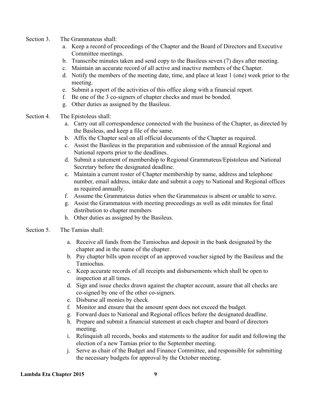- Section 3. The Grammateus shall:
	- a. Keep a record of proceedings of the Chapter and the Board of Directors and Executive Committee meetings.
	- b. Transcribe minutes taken and send copy to the Basileus seven (7) days after meeting.
	- c. Maintain an accurate record of all active and inactive members of the Chapter.
	- d. Notify the members of the meeting date, time, and place at least 1 (one) week prior to the meeting.
	- e. Submit a report of the activities of this office along with a financial report.
	- f. Be one of the 3 co-signers of chapter checks and must be bonded.
	- g. Other duties as assigned by the Basileus.
- Section 4. The Epistoleus shall:
	- a. Carry out all correspondence connected with the business of the Chapter, as directed by the Basileus, and keep a file of the same.
	- b. Affix the Chapter seal on all official documents of the Chapter as required.
	- c. Assist the Basileus in the preparation and submission of the annual Regional and National reports prior to the deadlines.
	- d. Submit a statement of membership to Regional Grammateus/Epistoleus and National Secretary before the designated deadline.
	- e. Maintain a current roster of Chapter membership by name, address and telephone number, email address, intake date and submit a copy to National and Regional offices as required annually.
	- f. Assume the Grammateus duties when the Grammateus is absent or unable to serve.
	- g. Assist the Grammateus with meeting proceedings as well as edit minutes for final distribution to chapter members
	- h. Other duties as assigned by the Basileus.
- Section 5. The Tamias shall:
	- a. Receive all funds from the Tamiochus and deposit in the bank designated by the chapter and in the name of the chapter.
	- b. Pay chapter bills upon receipt of an approved voucher signed by the Basileus and the Tamiochus.
	- c. Keep accurate records of all receipts and disbursements which shall be open to inspection at all times.
	- d. Sign and issue checks drawn against the chapter account, assure that all checks are co-signed by one of the other co-signers.
	- e. Disburse all monies by check.
	- f. Monitor and ensure that the amount spent does not exceed the budget.
	- g. Forward dues to National and Regional offices before the designated deadline.
	- h. Prepare and submit a financial statement at each chapter and board of directors meeting.
	- i. Relinquish all records, books and statements to the auditor for audit and following the election of a new Tamias prior to the September meeting.
	- j. Serve as chair of the Budget and Finance Committee, and responsible for submitting the necessary budgets for approval by the October meeting.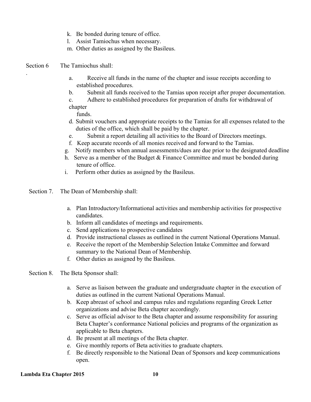- k. Be bonded during tenure of office.
- l. Assist Tamiochus when necessary.
- m. Other duties as assigned by the Basileus.
- Section 6 The Tamiochus shall:

.

- a. Receive all funds in the name of the chapter and issue receipts according to established procedures.
- b. Submit all funds received to the Tamias upon receipt after proper documentation.
- c. Adhere to established procedures for preparation of drafts for withdrawal of

chapter

funds.

- d. Submit vouchers and appropriate receipts to the Tamias for all expenses related to the duties of the office, which shall be paid by the chapter.
- e. Submit a report detailing all activities to the Board of Directors meetings.
- f. Keep accurate records of all monies received and forward to the Tamias.
- g. Notify members when annual assessments/dues are due prior to the designated deadline
- h. Serve as a member of the Budget & Finance Committee and must be bonded during tenure of office.
- i. Perform other duties as assigned by the Basileus.
- Section 7. The Dean of Membership shall:
	- a. Plan Introductory/Informational activities and membership activities for prospective candidates.
	- b. Inform all candidates of meetings and requirements.
	- c. Send applications to prospective candidates
	- d. Provide instructional classes as outlined in the current National Operations Manual.
	- e. Receive the report of the Membership Selection Intake Committee and forward summary to the National Dean of Membership.
	- f. Other duties as assigned by the Basileus.
- Section 8. The Beta Sponsor shall:
	- a. Serve as liaison between the graduate and undergraduate chapter in the execution of duties as outlined in the current National Operations Manual.
	- b. Keep abreast of school and campus rules and regulations regarding Greek Letter organizations and advise Beta chapter accordingly.
	- c. Serve as official advisor to the Beta chapter and assume responsibility for assuring Beta Chapter's conformance National policies and programs of the organization as applicable to Beta chapters.
	- d. Be present at all meetings of the Beta chapter.
	- e. Give monthly reports of Beta activities to graduate chapters.
	- f. Be directly responsible to the National Dean of Sponsors and keep communications open.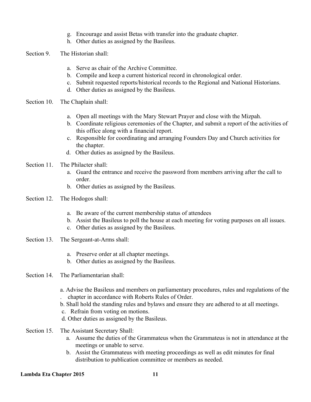- g. Encourage and assist Betas with transfer into the graduate chapter.
- h. Other duties as assigned by the Basileus.
- Section 9. The Historian shall:
	- a. Serve as chair of the Archive Committee.
	- b. Compile and keep a current historical record in chronological order.
	- c. Submit requested reports/historical records to the Regional and National Historians.
	- d. Other duties as assigned by the Basileus.
- Section 10. The Chaplain shall:
	- a. Open all meetings with the Mary Stewart Prayer and close with the Mizpah.
	- b. Coordinate religious ceremonies of the Chapter, and submit a report of the activities of this office along with a financial report.
	- c. Responsible for coordinating and arranging Founders Day and Church activities for the chapter.
	- d. Other duties as assigned by the Basileus.
- Section 11. The Philacter shall:
	- a. Guard the entrance and receive the password from members arriving after the call to order.
	- b. Other duties as assigned by the Basileus.
- Section 12. The Hodogos shall:
	- a. Be aware of the current membership status of attendees
	- b. Assist the Basileus to poll the house at each meeting for voting purposes on all issues.
	- c. Other duties as assigned by the Basileus.
- Section 13. The Sergeant-at-Arms shall:
	- a. Preserve order at all chapter meetings.
	- b. Other duties as assigned by the Basileus.
- Section 14. The Parliamentarian shall:
	- a. Advise the Basileus and members on parliamentary procedures, rules and regulations of the
	- . chapter in accordance with Roberts Rules of Order.
	- b. Shall hold the standing rules and bylaws and ensure they are adhered to at all meetings.
	- c. Refrain from voting on motions.
	- d. Other duties as assigned by the Basileus.
- Section 15. The Assistant Secretary Shall:
	- a. Assume the duties of the Grammateus when the Grammateus is not in attendance at the meetings or unable to serve.
	- b. Assist the Grammateus with meeting proceedings as well as edit minutes for final distribution to publication committee or members as needed.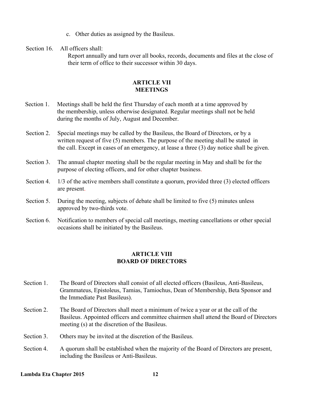c. Other duties as assigned by the Basileus.

Section 16 All officers shall:

> Report annually and turn over all books, records, documents and files at the close of their term of office to their successor within 30 days.

# **ARTICLE VII MEETINGS**

- Section 1. Meetings shall be held the first Thursday of each month at a time approved by the membership, unless otherwise designated. Regular meetings shall not be held during the months of July, August and December.
- Section 2. Special meetings may be called by the Basileus, the Board of Directors, or by a written request of five (5) members. The purpose of the meeting shall be stated in the call. Except in cases of an emergency, at lease a three (3) day notice shall be given.
- Section 3. The annual chapter meeting shall be the regular meeting in May and shall be for the purpose of electing officers, and for other chapter business.
- Section 4. 1/3 of the active members shall constitute a quorum, provided three (3) elected officers are present.
- Section 5. During the meeting, subjects of debate shall be limited to five (5) minutes unless approved by two-thirds vote.
- Section 6. Notification to members of special call meetings, meeting cancellations or other special occasions shall be initiated by the Basileus.

# **ARTICLE VIII BOARD OF DIRECTORS**

- Section 1. The Board of Directors shall consist of all elected officers (Basileus, Anti-Basileus, Grammateus, Epistoleus, Tamias, Tamiochus, Dean of Membership, Beta Sponsor and the Immediate Past Basileus).
- Section 2. The Board of Directors shall meet a minimum of twice a year or at the call of the Basileus. Appointed officers and committee chairmen shall attend the Board of Directors meeting (s) at the discretion of the Basileus.
- Section 3. Others may be invited at the discretion of the Basileus.
- Section 4. A quorum shall be established when the majority of the Board of Directors are present, including the Basileus or Anti-Basileus.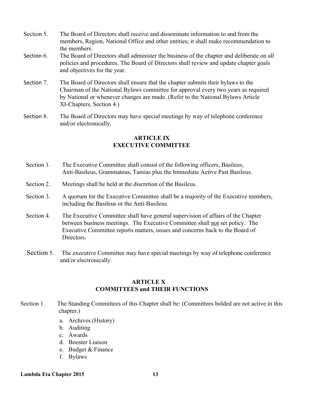- Section 5. The Board of Directors shall receive and disseminate information to and from the members, Region, National Office and other entities; it shall make recommendation to the members.
- Section 6. The Board of Directors shall administer the business of the chapter and deliberate on all policies and procedures. The Board of Directors shall review and update chapter goals and objectives for the year.
- Section 7. The Board of Directors shall ensure that the chapter submits their bylaws to the Chairman of the National Bylaws committee for approval every two years as required by National or whenever changes are made. (Refer to the National Bylaws Article XI-Chapters, Section 4.)
- Section 8. The Board of Directors may have special meetings by way of telephone conference and/or electronically.

# **ARTICLE IX EXECUTIVE COMMITTEE**

- Section 1. The Executive Committee shall consist of the following officers, Basileus, Anti-Basileus, Grammateus, Tamias plus the Immediate Active Past Basileus.
- Section 2. Meetings shall be held at the discretion of the Basileus.
- Section 3. A quorum for the Executive Committee shall be a majority of the Executive members, including the Basileus or the Anti-Basileus.
- Section 4. The Executive Committee shall have general supervision of affairs of the Chapter between business meetings. The Executive Committee shall not set policy. The Executive Committee reports matters, issues and concerns back to the Board of **Directors**
- Section 5. The executive Committee may have special meetings by way of telephone conference and/or electronically.

# **ARTICLE X COMMITTEES and THEIR FUNCTIONS**

- Section 1. The Standing Committees of this Chapter shall be: (Committees bolded are not active in this chapter.)
	- a. Archives (History)
	- b. Auditing
	- c. Awards
	- d. Booster Liaison
	- e. Budget & Finance
	- f. Bylaws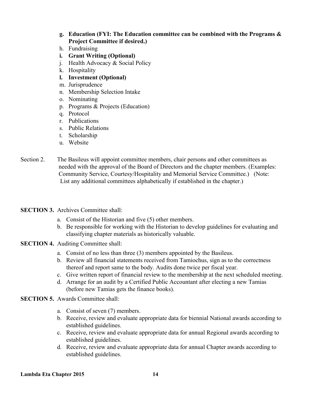# **g. Education (FYI: The Education committee can be combined with the Programs & Project Committee if desired.)**

- h. Fundraising
- **i. Grant Writing (Optional)**
- j. Health Advocacy & Social Policy
- k. Hospitality
- **l. Investment (Optional)**
- m. Jurisprudence
- n. Membership Selection Intake
- o. Nominating
- p. Programs & Projects (Education)
- q. Protocol
- r. Publications
- s. Public Relations
- t. Scholarship
- u. Website
- Section 2. The Basileus will appoint committee members, chair persons and other committees as needed with the approval of the Board of Directors and the chapter members. (Examples: Community Service, Courtesy/Hospitality and Memorial Service Committee.) (Note: List any additional committees alphabetically if established in the chapter.)
- **SECTION 3.** Archives Committee shall:
	- a. Consist of the Historian and five (5) other members.
	- b. Be responsible for working with the Historian to develop guidelines for evaluating and classifying chapter materials as historically valuable.
- **SECTION 4.** Auditing Committee shall:
	- a. Consist of no less than three (3) members appointed by the Basileus.
	- b. Review all financial statements received from Tamiochus, sign as to the correctness thereof and report same to the body. Audits done twice per fiscal year.
	- c. Give written report of financial review to the membership at the next scheduled meeting.
	- d. Arrange for an audit by a Certified Public Accountant after electing a new Tamias (before new Tamias gets the finance books).
- **SECTION 5.** Awards Committee shall:
	- a. Consist of seven (7) members.
	- b. Receive, review and evaluate appropriate data for biennial National awards according to established guidelines.
	- c. Receive, review and evaluate appropriate data for annual Regional awards according to established guidelines.
	- d. Receive, review and evaluate appropriate data for annual Chapter awards according to established guidelines.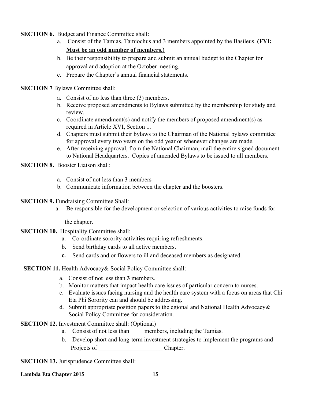- **SECTION 6.** Budget and Finance Committee shall:
	- a. Consist of the Tamias, Tamiochus and 3 members appointed by the Basileus. **(FYI: Must be an odd number of members.)**
	- b. Be their responsibility to prepare and submit an annual budget to the Chapter for approval and adoption at the October meeting.
	- c. Prepare the Chapter's annual financial statements.
- **SECTION 7** Bylaws Committee shall:
	- a. Consist of no less than three (3) members.
	- b. Receive proposed amendments to Bylaws submitted by the membership for study and review.
	- c. Coordinate amendment(s) and notify the members of proposed amendment(s) as required in Article XVI, Section 1.
	- d. Chapters must submit their bylaws to the Chairman of the National bylaws committee for approval every two years on the odd year or whenever changes are made.
	- e. After receiving approval, from the National Chairman, mail the entire signed document to National Headquarters. Copies of amended Bylaws to be issued to all members.
- **SECTION 8.** Booster Liaison shall:
	- a. Consist of not less than 3 members
	- b. Communicate information between the chapter and the boosters.
- **SECTION 9. Fundraising Committee Shall:** 
	- a. Be responsible for the development or selection of various activities to raise funds for

the chapter.

- **SECTION 10.** Hospitality Committee shall:
	- a. Co-ordinate sorority activities requiring refreshments.
	- b. Send birthday cards to all active members.
	- **c.** Send cards and or flowers to ill and deceased members as designated.

#### **SECTION 11.** Health Advocacy& Social Policy Committee shall:

- a. Consist of not less than **3** members.
- b. Monitor matters that impact health care issues of particular concern to nurses.
- c. Evaluate issues facing nursing and the health care system with a focus on areas that Chi Eta Phi Sorority can and should be addressing.
- d. Submit appropriate position papers to the egional and National Health Advocacy& Social Policy Committee for consideration.
- **SECTION 12.** Investment Committee shall: (Optional)
	- a. Consist of not less than members, including the Tamias.
	- b. Develop short and long-term investment strategies to implement the programs and Projects of Chapter.

**SECTION 13.** Jurisprudence Committee shall: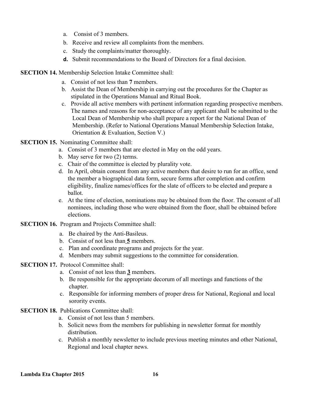- a. Consist of 3 members.
- b. Receive and review all complaints from the members.
- c. Study the complaints/matter thoroughly.
- **d.** Submit recommendations to the Board of Directors for a final decision.

**SECTION 14.** Membership Selection Intake Committee shall:

- a. Consist of not less than **7** members.
- b. Assist the Dean of Membership in carrying out the procedures for the Chapter as stipulated in the Operations Manual and Ritual Book.
- c. Provide all active members with pertinent information regarding prospective members. The names and reasons for non-acceptance of any applicant shall be submitted to the Local Dean of Membership who shall prepare a report for the National Dean of Membership. (Refer to National Operations Manual Membership Selection Intake, Orientation & Evaluation, Section V.)
- **SECTION 15.** Nominating Committee shall:
	- a. Consist of 3 members that are elected in May on the odd years.
	- b. May serve for two (2) terms.
	- c. Chair of the committee is elected by plurality vote.
	- d. In April, obtain consent from any active members that desire to run for an office, send the member a biographical data form, secure forms after completion and confirm eligibility, finalize names/offices for the slate of officers to be elected and prepare a ballot.
	- e. At the time of election, nominations may be obtained from the floor. The consent of all nominees, including those who were obtained from the floor, shall be obtained before elections.
- **SECTION 16.** Program and Projects Committee shall:
	- a. Be chaired by the Anti-Basileus.
	- b. Consist of not less than **5** members.
	- c. Plan and coordinate programs and projects for the year.
	- d. Members may submit suggestions to the committee for consideration.
- **SECTION 17.** Protocol Committee shall:
	- a. Consist of not less than **3** members.
	- b. Be responsible for the appropriate decorum of all meetings and functions of the chapter.
	- c. Responsible for informing members of proper dress for National, Regional and local sorority events.
- **SECTION 18.** Publications Committee shall:
	- a. Consist of not less than 5 members.
	- b. Solicit news from the members for publishing in newsletter format for monthly distribution.
	- c. Publish a monthly newsletter to include previous meeting minutes and other National, Regional and local chapter news.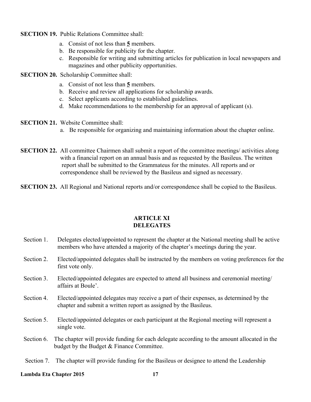- **SECTION 19.** Public Relations Committee shall:
	- a. Consist of not less than **5** members.
	- b. Be responsible for publicity for the chapter.
	- c. Responsible for writing and submitting articles for publication in local newspapers and magazines and other publicity opportunities.
- **SECTION 20.** Scholarship Committee shall:
	- a. Consist of not less than **5** members.
	- b. Receive and review all applications for scholarship awards.
	- c. Select applicants according to established guidelines.
	- d. Make recommendations to the membership for an approval of applicant (s).
- **SECTION 21.** Website Committee shall:
	- a. Be responsible for organizing and maintaining information about the chapter online.
- **SECTION 22.** All committee Chairmen shall submit a report of the committee meetings/ activities along with a financial report on an annual basis and as requested by the Basileus. The written report shall be submitted to the Grammateus for the minutes. All reports and or correspondence shall be reviewed by the Basileus and signed as necessary.
- **SECTION 23.** All Regional and National reports and/or correspondence shall be copied to the Basileus.

# **ARTICLE XI DELEGATES**

- Section 1. Delegates elected/appointed to represent the chapter at the National meeting shall be active members who have attended a majority of the chapter's meetings during the year.
- Section 2. Elected/appointed delegates shall be instructed by the members on voting preferences for the first vote only.
- Section 3. Elected/appointed delegates are expected to attend all business and ceremonial meeting/ affairs at Boule'.
- Section 4. Elected/appointed delegates may receive a part of their expenses, as determined by the chapter and submit a written report as assigned by the Basileus.
- Section 5. Elected/appointed delegates or each participant at the Regional meeting will represent a single vote.
- Section 6. The chapter will provide funding for each delegate according to the amount allocated in the budget by the Budget & Finance Committee.
- Section 7. The chapter will provide funding for the Basileus or designee to attend the Leadership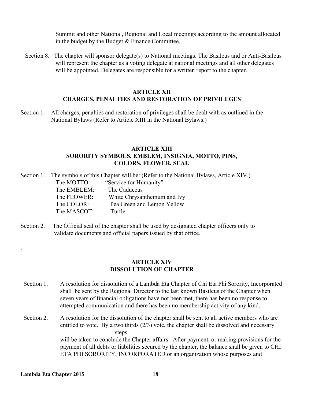Summit and other National, Regional and Local meetings according to the amount allocated in the budget by the Budget & Finance Committee.

 Section 8. The chapter will sponsor delegate(s) to National meetings. The Basileus and or Anti-Basileus will represent the chapter as a voting delegate at national meetings and all other delegates will be appointed. Delegates are responsible for a written report to the chapter.

# **ARTICLE XII CHARGES, PENALTIES AND RESTORATION OF PRIVILEGES**

Section 1. All charges, penalties and restoration of privileges shall be dealt with as outlined in the National Bylaws (Refer to Article XIII in the National Bylaws.)

# **ARTICLE XIII SORORITY SYMBOLS, EMBLEM, INSIGNIA, MOTTO, PINS, COLORS, FLOWER, SEAL**

- Section 1. The symbols of this Chapter will be: (Refer to the National Bylaws, Article XIV.) The MOTTO: "Service for Humanity" The EMBLEM: The Caduceus The FLOWER: White Chrysanthemum and Ivy The COLOR: Pea Green and Lemon Yellow The MASCOT: Turtle
- Section 2. The Official seal of the chapter shall be used by designated chapter officers only to validate documents and official papers issued by that office.

# **ARTICLE XIV DISSOLUTION OF CHAPTER**

- Section 1. A resolution for dissolution of a Lambda Eta Chapter of Chi Eta Phi Sorority, Incorporated shall be sent by the Regional Director to the last known Basileus of the Chapter when seven years of financial obligations have not been met, there has been no response to attempted communication and there has been no membership activity of any kind.
- Section 2. A resolution for the dissolution of the chapter shall be sent to all active members who are entitled to vote. By a two thirds (2/3) vote, the chapter shall be dissolved and necessary steps will be taken to conclude the Chapter affairs. After payment, or making provisions for the payment of all debts or liabilities secured by the chapter, the balance shall be given to CHI

ETA PHI SORORITY, INCORPORATED or an organization whose purposes and

.